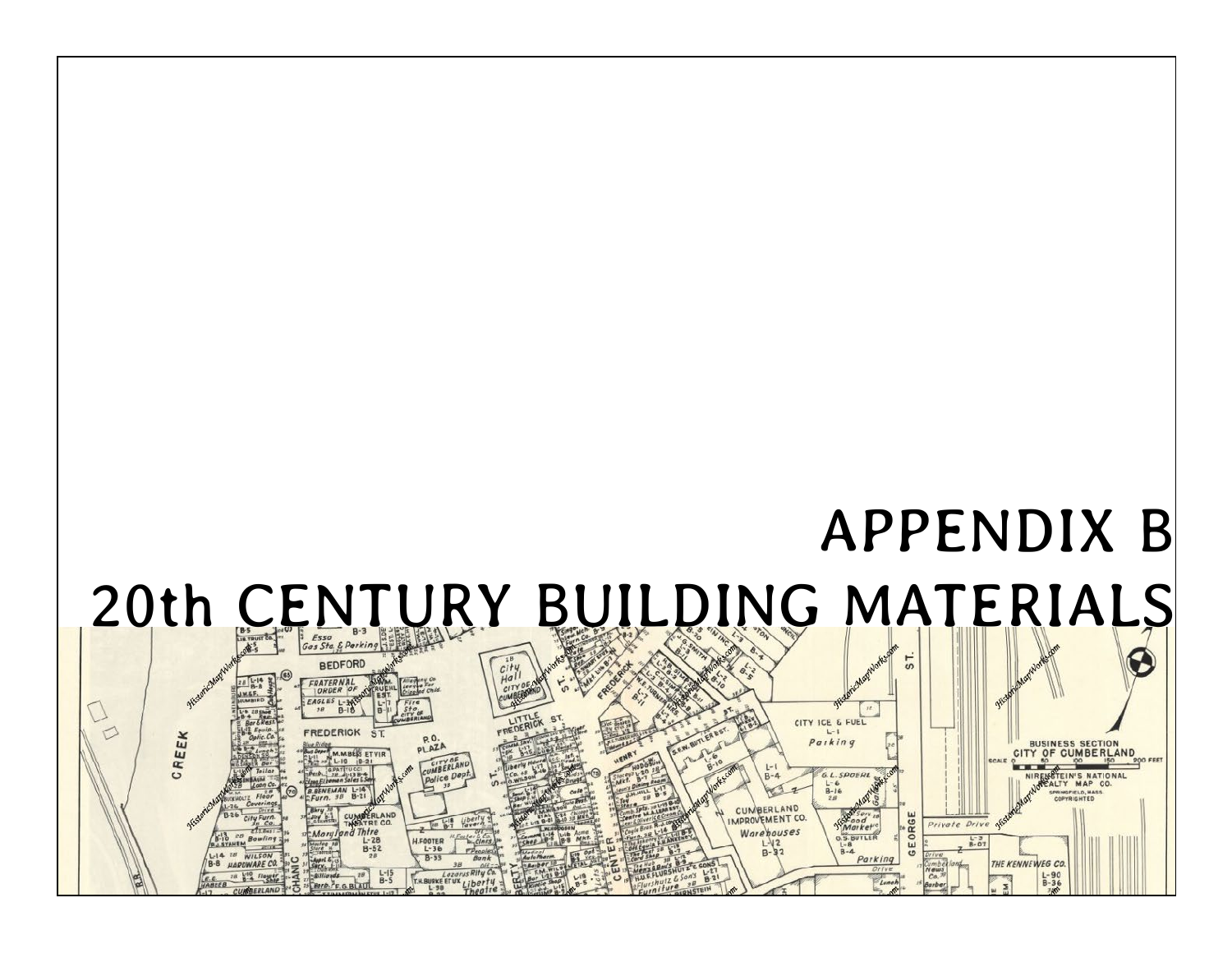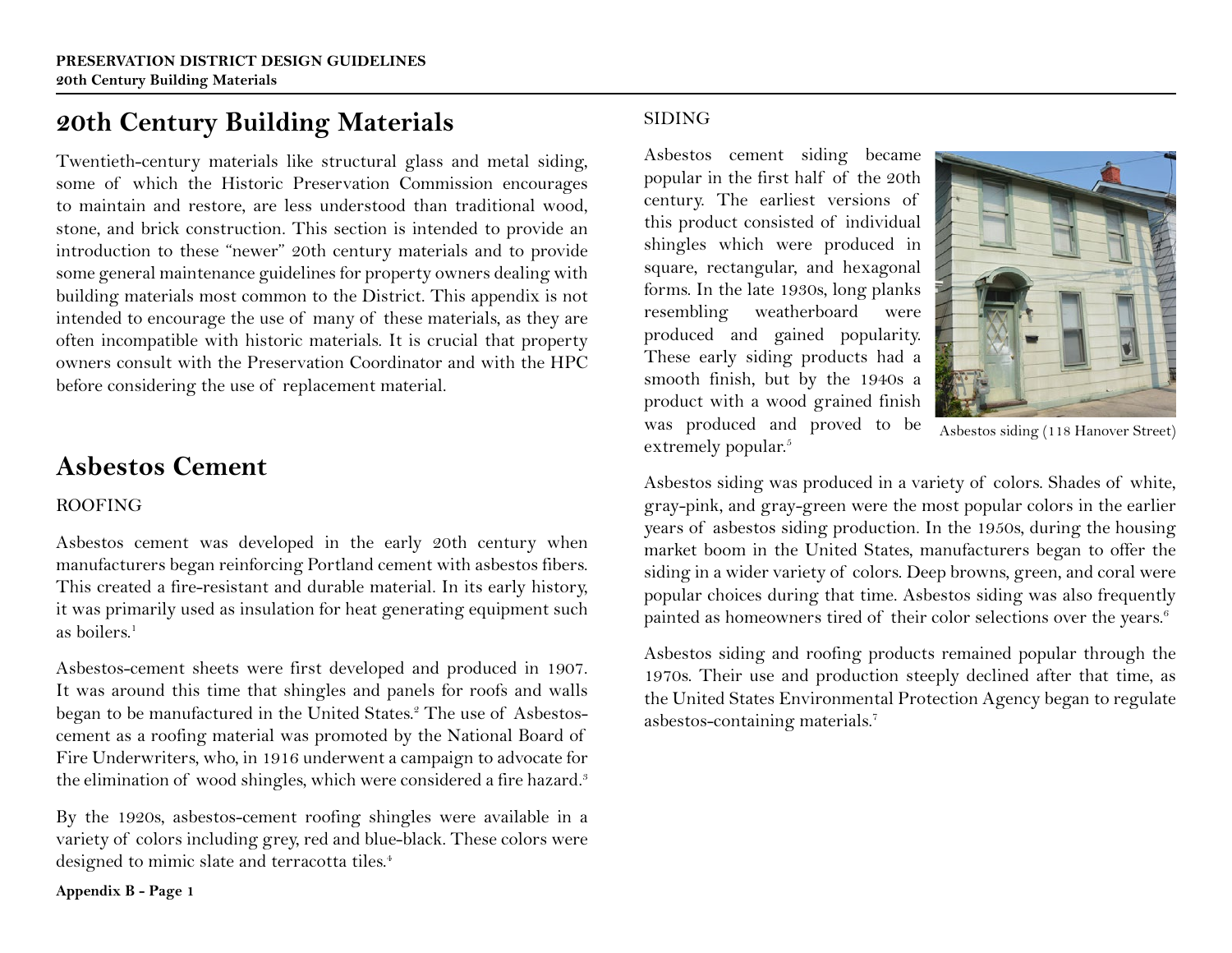### **20th Century Building Materials**

Twentieth-century materials like structural glass and metal siding, some of which the Historic Preservation Commission encourages to maintain and restore, are less understood than traditional wood, stone, and brick construction. This section is intended to provide an introduction to these "newer" 20th century materials and to provide some general maintenance guidelines for property owners dealing with building materials most common to the District. This appendix is not intended to encourage the use of many of these materials, as they are often incompatible with historic materials. It is crucial that property owners consult with the Preservation Coordinator and with the HPC before considering the use of replacement material.

### **Asbestos Cement**

### ROOFING

Asbestos cement was developed in the early 20th century when manufacturers began reinforcing Portland cement with asbestos fibers. This created a fire-resistant and durable material. In its early history, it was primarily used as insulation for heat generating equipment such as boilers $<sup>1</sup>$ </sup>

Asbestos-cement sheets were first developed and produced in 1907. It was around this time that shingles and panels for roofs and walls began to be manufactured in the United States.<sup>2</sup> The use of Asbestoscement as a roofing material was promoted by the National Board of Fire Underwriters, who, in 1916 underwent a campaign to advocate for the elimination of wood shingles, which were considered a fire hazard.<sup>3</sup>

By the 1920s, asbestos-cement roofing shingles were available in a variety of colors including grey, red and blue-black. These colors were designed to mimic slate and terracotta tiles.<sup>4</sup>

SIDING

Asbestos cement siding became popular in the first half of the 20th century. The earliest versions of this product consisted of individual shingles which were produced in square, rectangular, and hexagonal forms. In the late 1930s, long planks resembling weatherboard were produced and gained popularity. These early siding products had a smooth finish, but by the 1940s a product with a wood grained finish was produced and proved to be extremely popular.<sup>5</sup>



Asbestos siding (118 Hanover Street)

Asbestos siding was produced in a variety of colors. Shades of white, gray-pink, and gray-green were the most popular colors in the earlier years of asbestos siding production. In the 1950s, during the housing market boom in the United States, manufacturers began to offer the siding in a wider variety of colors. Deep browns, green, and coral were popular choices during that time. Asbestos siding was also frequently painted as homeowners tired of their color selections over the years.<sup>6</sup>

Asbestos siding and roofing products remained popular through the 1970s. Their use and production steeply declined after that time, as the United States Environmental Protection Agency began to regulate asbestos-containing materials.7

**Appendix B - Page 1**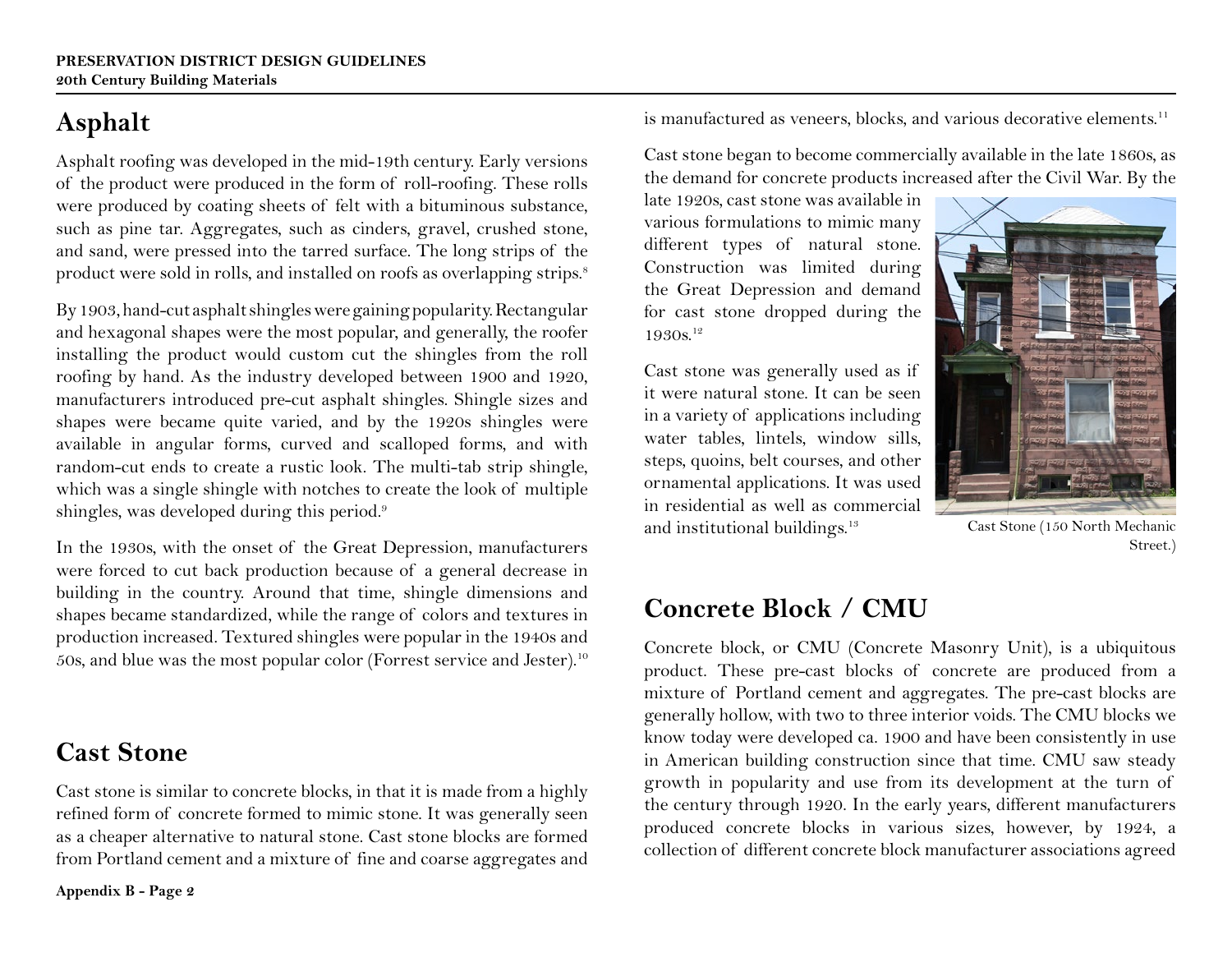# **Asphalt**

Asphalt roofing was developed in the mid-19th century. Early versions of the product were produced in the form of roll-roofing. These rolls were produced by coating sheets of felt with a bituminous substance, such as pine tar. Aggregates, such as cinders, gravel, crushed stone, and sand, were pressed into the tarred surface. The long strips of the product were sold in rolls, and installed on roofs as overlapping strips.<sup>8</sup>

By 1903, hand-cut asphalt shingles were gaining popularity. Rectangular and hexagonal shapes were the most popular, and generally, the roofer installing the product would custom cut the shingles from the roll roofing by hand. As the industry developed between 1900 and 1920, manufacturers introduced pre-cut asphalt shingles. Shingle sizes and shapes were became quite varied, and by the 1920s shingles were available in angular forms, curved and scalloped forms, and with random-cut ends to create a rustic look. The multi-tab strip shingle, which was a single shingle with notches to create the look of multiple shingles, was developed during this period.<sup>9</sup>

In the 1930s, with the onset of the Great Depression, manufacturers were forced to cut back production because of a general decrease in building in the country. Around that time, shingle dimensions and shapes became standardized, while the range of colors and textures in production increased. Textured shingles were popular in the 1940s and 50s, and blue was the most popular color (Forrest service and Jester).10

**Cast Stone** 

Cast stone is similar to concrete blocks, in that it is made from a highly refined form of concrete formed to mimic stone. It was generally seen as a cheaper alternative to natural stone. Cast stone blocks are formed from Portland cement and a mixture of fine and coarse aggregates and

**Appendix B - Page 2** 

is manufactured as veneers, blocks, and various decorative elements.<sup>11</sup>

Cast stone began to become commercially available in the late 1860s, as the demand for concrete products increased after the Civil War. By the

late 1920s, cast stone was available in various formulations to mimic many different types of natural stone. Construction was limited during the Great Depression and demand for cast stone dropped during the 1930s.<sup>12</sup>

Cast stone was generally used as if it were natural stone. It can be seen in a variety of applications including water tables, lintels, window sills, steps, quoins, belt courses, and other ornamental applications. It was used in residential as well as commercial and institutional buildings.13

Cast Stone (150 North Mechanic Street.)

## **Concrete Block / CMU**

Concrete block, or CMU (Concrete Masonry Unit), is a ubiquitous product. These pre-cast blocks of concrete are produced from a mixture of Portland cement and aggregates. The pre-cast blocks are generally hollow, with two to three interior voids. The CMU blocks we know today were developed ca. 1900 and have been consistently in use in American building construction since that time. CMU saw steady growth in popularity and use from its development at the turn of the century through 1920. In the early years, different manufacturers produced concrete blocks in various sizes, however, by 1924, a collection of different concrete block manufacturer associations agreed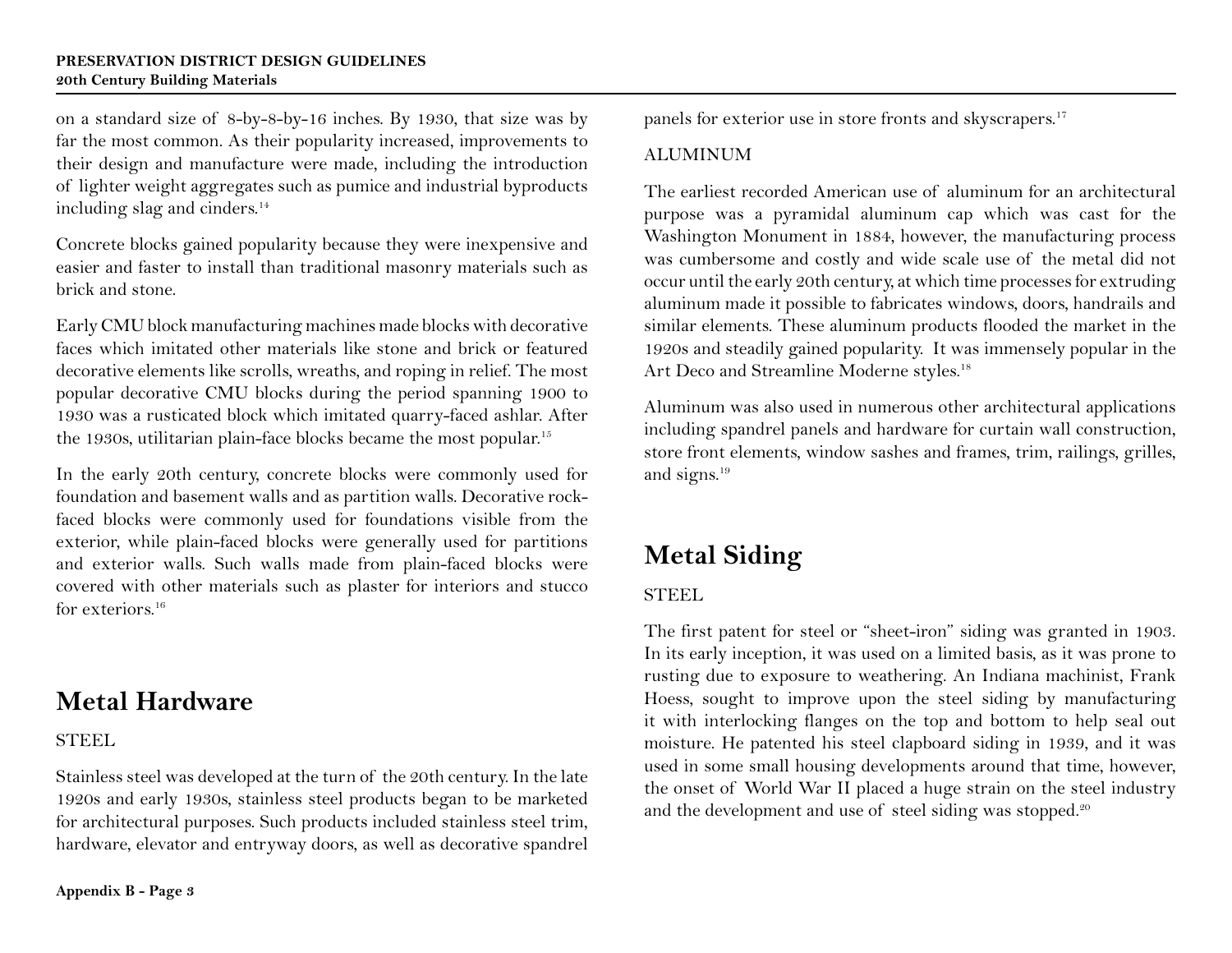on a standard size of 8-by-8-by-16 inches. By 1930, that size was by far the most common. As their popularity increased, improvements to their design and manufacture were made, including the introduction of lighter weight aggregates such as pumice and industrial byproducts including slag and cinders.<sup>14</sup>

Concrete blocks gained popularity because they were inexpensive and easier and faster to install than traditional masonry materials such as brick and stone.

Early CMU block manufacturing machines made blocks with decorative faces which imitated other materials like stone and brick or featured decorative elements like scrolls, wreaths, and roping in relief. The most popular decorative CMU blocks during the period spanning 1900 to 1930 was a rusticated block which imitated quarry-faced ashlar. After the 1930s, utilitarian plain-face blocks became the most popular.<sup>15</sup>

In the early 20th century, concrete blocks were commonly used for foundation and basement walls and as partition walls. Decorative rockfaced blocks were commonly used for foundations visible from the exterior, while plain-faced blocks were generally used for partitions and exterior walls. Such walls made from plain-faced blocks were covered with other materials such as plaster for interiors and stucco for exteriors.<sup>16</sup>

### **Metal Hardware**

### **STEEL**

Stainless steel was developed at the turn of the 20th century. In the late 1920s and early 1930s, stainless steel products began to be marketed for architectural purposes. Such products included stainless steel trim, hardware, elevator and entryway doors, as well as decorative spandrel panels for exterior use in store fronts and skyscrapers.<sup>17</sup>

### ALUMINUM

The earliest recorded American use of aluminum for an architectural purpose was a pyramidal aluminum cap which was cast for the Washington Monument in 1884, however, the manufacturing process was cumbersome and costly and wide scale use of the metal did not occur until the early 20th century, at which time processes for extruding aluminum made it possible to fabricates windows, doors, handrails and similar elements. These aluminum products flooded the market in the 1920s and steadily gained popularity. It was immensely popular in the Art Deco and Streamline Moderne styles.<sup>18</sup>

Aluminum was also used in numerous other architectural applications including spandrel panels and hardware for curtain wall construction, store front elements, window sashes and frames, trim, railings, grilles, and signs.19

# **Metal Siding**

### STEEL

The first patent for steel or "sheet-iron" siding was granted in 1903. In its early inception, it was used on a limited basis, as it was prone to rusting due to exposure to weathering. An Indiana machinist, Frank Hoess, sought to improve upon the steel siding by manufacturing it with interlocking flanges on the top and bottom to help seal out moisture. He patented his steel clapboard siding in 1939, and it was used in some small housing developments around that time, however, the onset of World War II placed a huge strain on the steel industry and the development and use of steel siding was stopped.<sup>20</sup>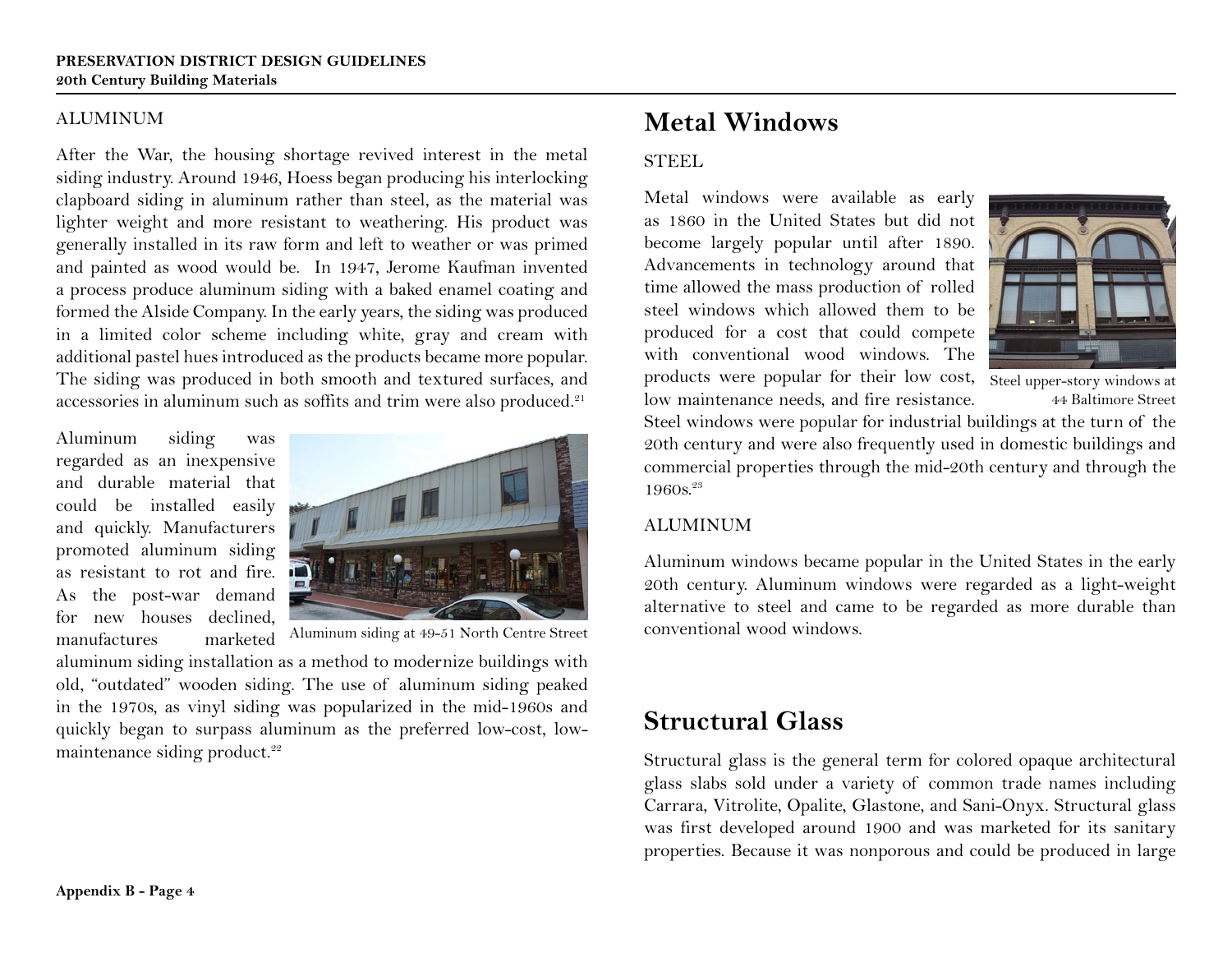#### ALUMINUM

After the War, the housing shortage revived interest in the metal siding industry. Around 1946, Hoess began producing his interlocking clapboard siding in aluminum rather than steel, as the material was lighter weight and more resistant to weathering. His product was generally installed in its raw form and left to weather or was primed and painted as wood would be. In 1947, Jerome Kaufman invented a process produce aluminum siding with a baked enamel coating and formed the Alside Company. In the early years, the siding was produced in a limited color scheme including white, gray and cream with additional pastel hues introduced as the products became more popular. The siding was produced in both smooth and textured surfaces, and accessories in aluminum such as soffits and trim were also produced.<sup>21</sup>

Aluminum siding was regarded as an inexpensive and durable material that could be installed easily and quickly. Manufacturers promoted aluminum siding as resistant to rot and fire. As the post-war demand for new houses declined, manufactures marketed



Aluminum siding at 49-51 North Centre Street

aluminum siding installation as a method to modernize buildings with old, "outdated" wooden siding. The use of aluminum siding peaked in the 1970s, as vinyl siding was popularized in the mid-1960s and quickly began to surpass aluminum as the preferred low-cost, lowmaintenance siding product.<sup>22</sup>

### **Metal Windows**

### STEEL

Metal windows were available as early as 1860 in the United States but did not become largely popular until after 1890. Advancements in technology around that time allowed the mass production of rolled steel windows which allowed them to be produced for a cost that could compete with conventional wood windows. The products were popular for their low cost, Steel upper-story windows at low maintenance needs, and fire resistance.



44 Baltimore Street

Steel windows were popular for industrial buildings at the turn of the 20th century and were also frequently used in domestic buildings and commercial properties through the mid-20th century and through the  $1960s.^{23}$ 

### **ALUMINUM**

Aluminum windows became popular in the United States in the early 20th century. Aluminum windows were regarded as a light-weight alternative to steel and came to be regarded as more durable than conventional wood windows.

### **Structural Glass**

Structural glass is the general term for colored opaque architectural glass slabs sold under a variety of common trade names including Carrara, Vitrolite, Opalite, Glastone, and Sani-Onyx. Structural glass was first developed around 1900 and was marketed for its sanitary properties. Because it was nonporous and could be produced in large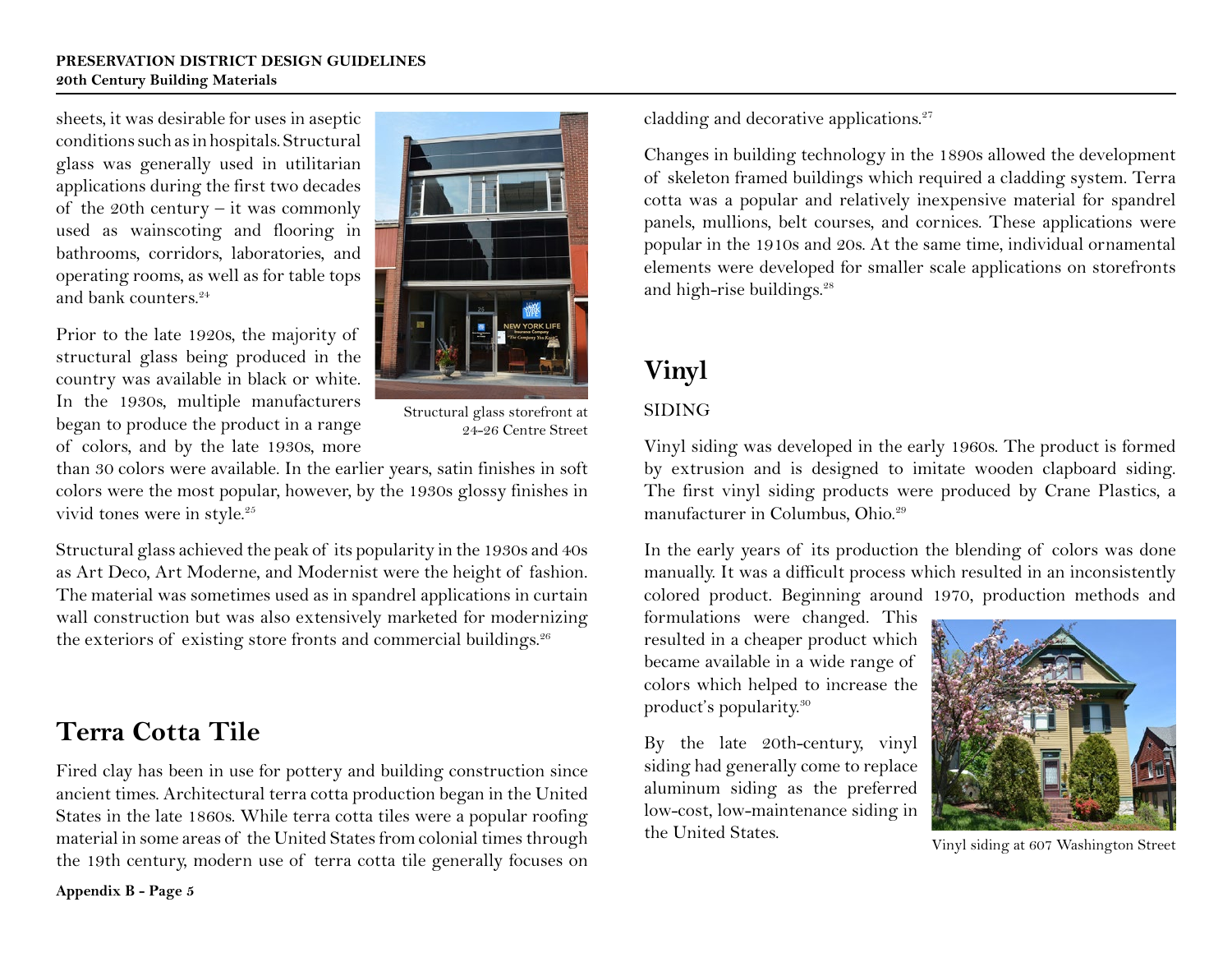#### **PRESERVATION DISTRICT DESIGN GUIDELINES 20th Century Building Materials**

sheets, it was desirable for uses in aseptic conditions such as in hospitals. Structural glass was generally used in utilitarian applications during the first two decades of the 20th century – it was commonly used as wainscoting and flooring in bathrooms, corridors, laboratories, and operating rooms, as well as for table tops and bank counters. $24$ 

Prior to the late 1920s, the majority of structural glass being produced in the country was available in black or white. In the 1930s, multiple manufacturers began to produce the product in a range of colors, and by the late 1930s, more



Structural glass storefront at 24-26 Centre Street

than 30 colors were available. In the earlier years, satin finishes in soft colors were the most popular, however, by the 1930s glossy finishes in vivid tones were in style.<sup>25</sup>

Structural glass achieved the peak of its popularity in the 1930s and 40s as Art Deco, Art Moderne, and Modernist were the height of fashion. The material was sometimes used as in spandrel applications in curtain wall construction but was also extensively marketed for modernizing the exteriors of existing store fronts and commercial buildings.<sup>26</sup>

# **Terra Cotta Tile**

Fired clay has been in use for pottery and building construction since ancient times. Architectural terra cotta production began in the United States in the late 1860s. While terra cotta tiles were a popular roofing material in some areas of the United States from colonial times through the 19th century, modern use of terra cotta tile generally focuses on cladding and decorative applications.<sup>27</sup>

Changes in building technology in the 1890s allowed the development of skeleton framed buildings which required a cladding system. Terra cotta was a popular and relatively inexpensive material for spandrel panels, mullions, belt courses, and cornices. These applications were popular in the 1910s and 20s. At the same time, individual ornamental elements were developed for smaller scale applications on storefronts and high-rise buildings.<sup>28</sup>

# **Vinyl**

### SIDING

Vinyl siding was developed in the early 1960s. The product is formed by extrusion and is designed to imitate wooden clapboard siding. The first vinyl siding products were produced by Crane Plastics, a manufacturer in Columbus, Ohio.<sup>29</sup>

In the early years of its production the blending of colors was done manually. It was a difficult process which resulted in an inconsistently colored product. Beginning around 1970, production methods and

formulations were changed. This resulted in a cheaper product which became available in a wide range of colors which helped to increase the product's popularity.30

By the late 20th-century, vinyl siding had generally come to replace aluminum siding as the preferred low-cost, low-maintenance siding in the United States.



Vinyl siding at 607 Washington Street

**Appendix B - Page 5**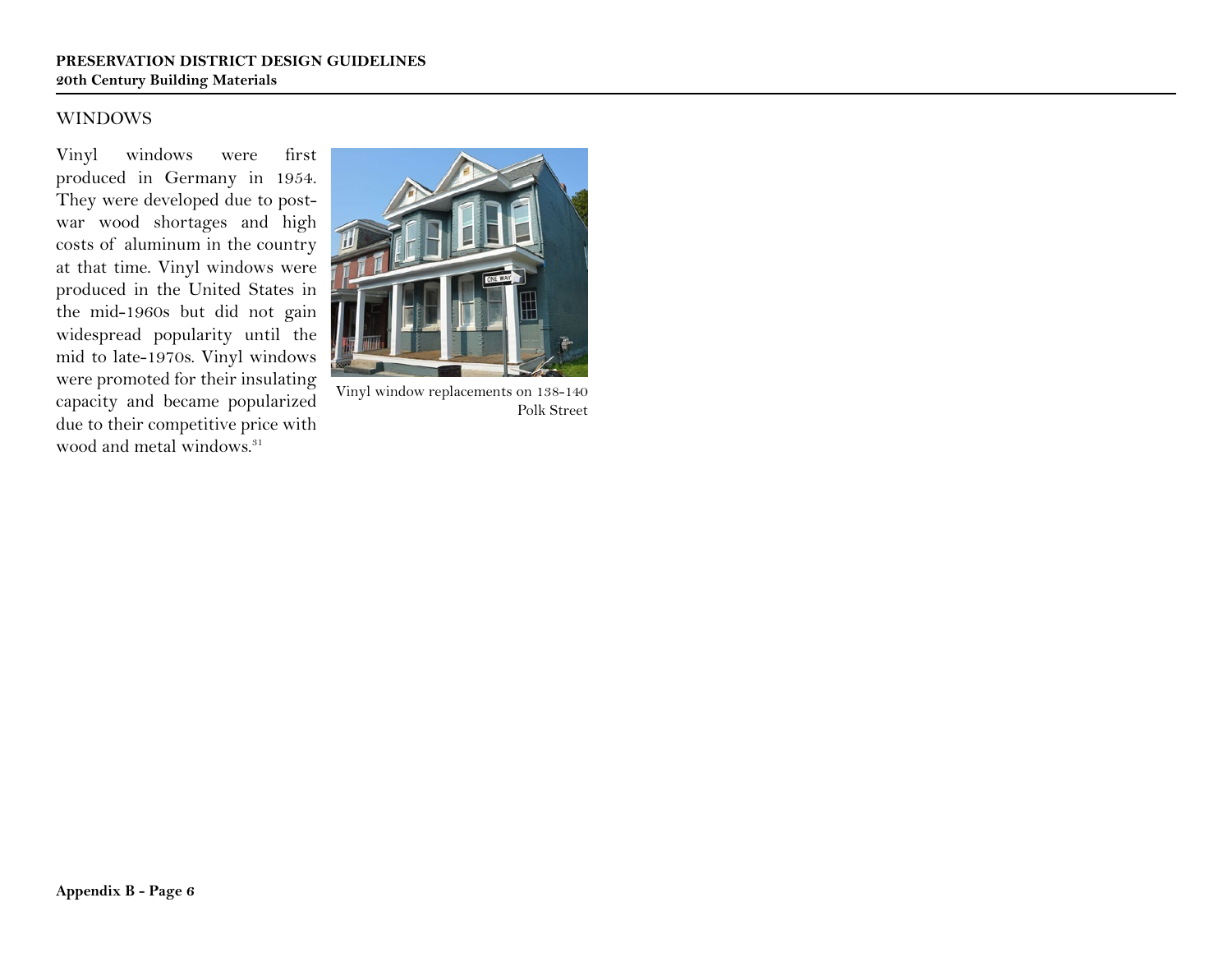#### WINDOWS

Vinyl windows were first produced in Germany in 1954. They were developed due to postwar wood shortages and high costs of aluminum in the country at that time. Vinyl windows were produced in the United States in the mid-1960s but did not gain widespread popularity until the mid to late-1970s. Vinyl windows were promoted for their insulating capacity and became popularized due to their competitive price with wood and metal windows.<sup>31</sup>



Vinyl window replacements on 138-140 Polk Street